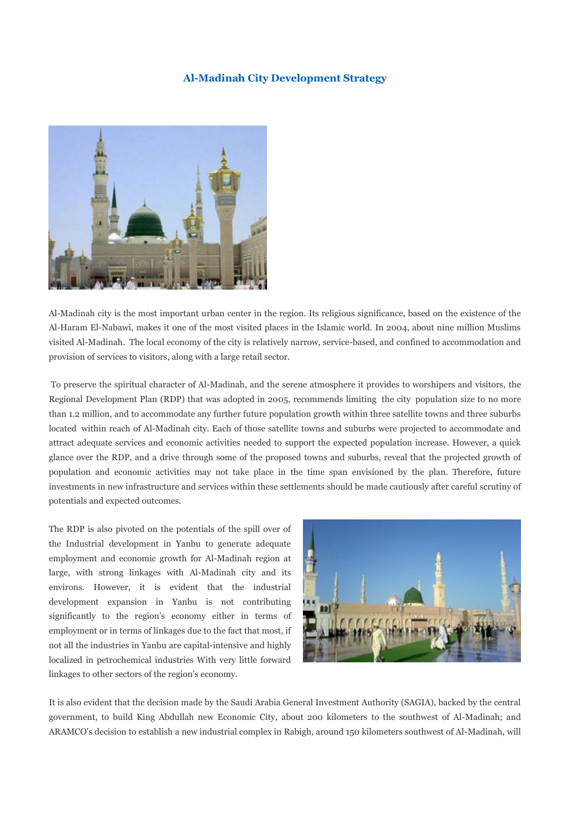#### **Al-Madinah City Development Strategy**



Al-Madinah city is the most important urban center in the region. Its religious significance, based on the existence of the Al-Haram El-Nabawi, makes it one of the most visited places in the Islamic world. In 2004, about nine million Muslims visited Al-Madinah. The local economy of the city is relatively narrow, service-based, and confined to accommodation and provision of services to visitors, along with a large retail sector.

To preserve the spiritual character of Al-Madinah, and the serene atmosphere it provides to worshipers and visitors, the Regional Development Plan (RDP) that was adopted in 2005, recommends limiting the city population size to no more than 1.2 million, and to accommodate any further future population growth within three satellite towns and three suburbs located within reach of Al-Madinah city. Each of those satellite towns and suburbs were projected to accommodate and attract adequate services and economic activities needed to support the expected population increase. However, a quick glance over the RDP, and a drive through some of the proposed towns and suburbs, reveal that the projected growth of population and economic activities may not take place in the time span envisioned by the plan. Therefore, future investments in new infrastructure and services within these settlements should be made cautiously after careful scrutiny of potentials and expected outcomes.

The RDP is also pivoted on the potentials of the spill over of the Industrial development in Yanbu to generate adequate employment and economic growth for Al-Madinah region at large, with strong linkages with Al-Madinah city and its environs. However, it is evident that the industrial development expansion in Yanbu is not contributing significantly to the region's economy either in terms of employment or in terms of linkages due to the fact that most, if not all the industries in Yanbu are capital-intensive and highly localized in petrochemical industries With very little forward linkages to other sectors of the region's economy.



It is also evident that the decision made by the Saudi Arabia General Investment Authority (SAGIA), backed by the central government, to build King Abdullah new Economic City, about 200 kilometers to the southwest of Al-Madinah; and ARAMCO's decision to establish a new industrial complex in Rabigh, around 150 kilometers southwest of Al-Madinah, will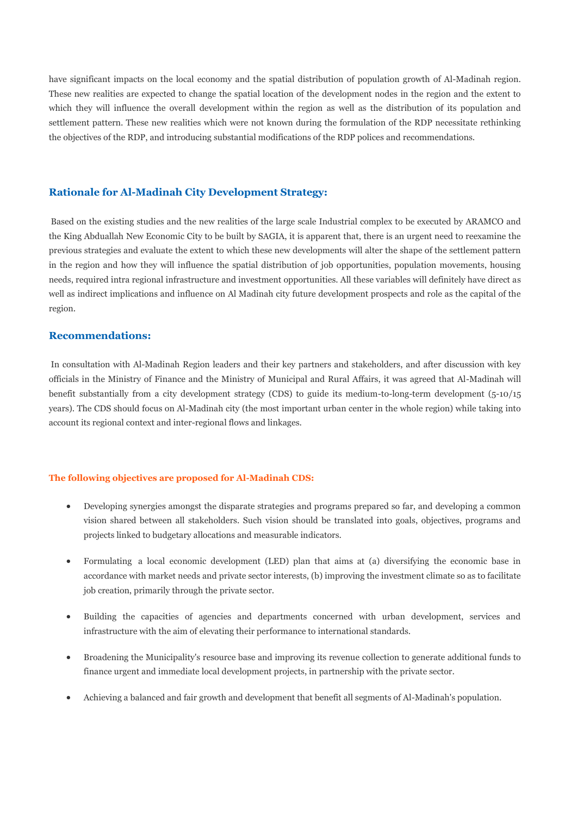have significant impacts on the local economy and the spatial distribution of population growth of Al-Madinah region. These new realities are expected to change the spatial location of the development nodes in the region and the extent to which they will influence the overall development within the region as well as the distribution of its population and settlement pattern. These new realities which were not known during the formulation of the RDP necessitate rethinking the objectives of the RDP, and introducing substantial modifications of the RDP polices and recommendations.

## **Rationale for Al-Madinah City Development Strategy:**

Based on the existing studies and the new realities of the large scale Industrial complex to be executed by ARAMCO and the King Abduallah New Economic City to be built by SAGIA, it is apparent that, there is an urgent need to reexamine the previous strategies and evaluate the extent to which these new developments will alter the shape of the settlement pattern in the region and how they will influence the spatial distribution of job opportunities, population movements, housing needs, required intra regional infrastructure and investment opportunities. All these variables will definitely have direct as well as indirect implications and influence on Al Madinah city future development prospects and role as the capital of the region.

### **Recommendations:**

In consultation with Al-Madinah Region leaders and their key partners and stakeholders, and after discussion with key officials in the Ministry of Finance and the Ministry of Municipal and Rural Affairs, it was agreed that Al-Madinah will benefit substantially from a city development strategy (CDS) to guide its medium-to-long-term development (5-10/15 years). The CDS should focus on Al-Madinah city (the most important urban center in the whole region) while taking into account its regional context and inter-regional flows and linkages.

#### **The following objectives are proposed for Al-Madinah CDS:**

- Developing synergies amongst the disparate strategies and programs prepared so far, and developing a common vision shared between all stakeholders. Such vision should be translated into goals, objectives, programs and projects linked to budgetary allocations and measurable indicators.
- Formulating a local economic development (LED) plan that aims at (a) diversifying the economic base in accordance with market needs and private sector interests, (b) improving the investment climate so as to facilitate job creation, primarily through the private sector.
- Building the capacities of agencies and departments concerned with urban development, services and infrastructure with the aim of elevating their performance to international standards.
- Broadening the Municipality's resource base and improving its revenue collection to generate additional funds to finance urgent and immediate local development projects, in partnership with the private sector.
- Achieving a balanced and fair growth and development that benefit all segments of Al-Madinah's population.